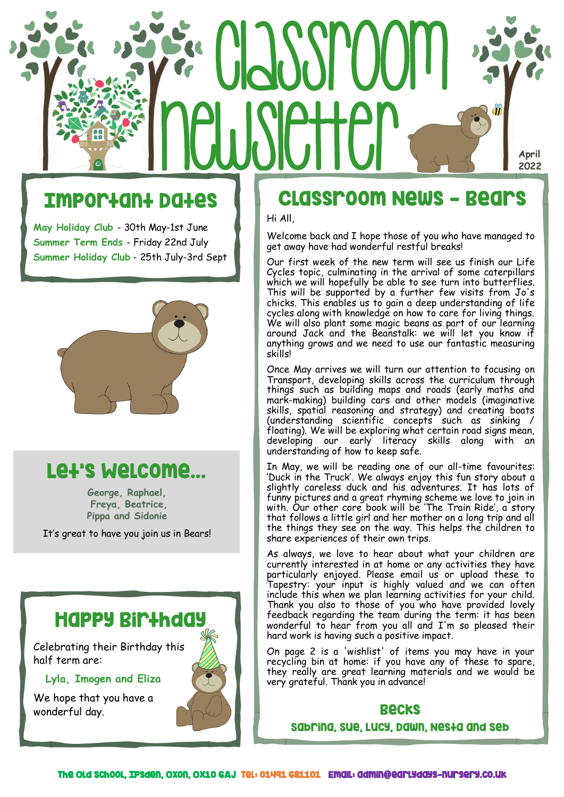# CLASSPOOM newsletter **April 2022**

## Important Dates

**May Holiday Club** - 30th May-1st June **Summer Term Ends** - Friday 22nd July **Summer Holiday Club** - 25th July-3rd Sept



## Let's Welcome...

**George, Raphael, Freya, Beatrice, Pippa and Sidonie**

It's great to have you join us in Bears!



## Classroom News - Bears

Hi All,

Welcome back and I hope those of you who have managed to get away have had wonderful restful breaks!

Our first week of the new term will see us finish our Life Cycles topic, culminating in the arrival of some caterpillars which we will hopefully be able to see turn into butterflies. This will be supported by a further few visits from Jo's chicks. This enables us to gain a deep understanding of life cycles along with knowledge on how to care for living things. We will also plant some magic beans as part of our learning around Jack and the Beanstalk: we will let you know if anything grows and we need to use our fantastic measuring skills!

Once May arrives we will turn our attention to focusing on Transport, developing skills across the curriculum through things such as building maps and roads (early maths and mark-making) building cars and other models (imaginative skills, spatial reasoning and strategy) and creating boats  $(understanding scientific concepts' such as sinking /$ floating). We will be exploring what certain road signs mean, developing our early literacy skills along with an understanding of how to keep safe.

In May, we will be reading one of our all-time favourites: 'Duck in the Truck'. We always enjoy this fun story about a slightly careless duck and his adventures. It has lots of funny pictures and a great rhyming scheme we love to join in with. Our other core book will be 'The Train Ride', a story that follows a little girl and her mother on a long trip and all the things they see on the way. This helps the children to share experiences of their own trips.

As always, we love to hear about what your children are currently interested in at home or any activities they have particularly enjoyed. Please email us or upload these to Tapestry: your input is highly valued and we can often include this when we plan learning activities for your child. Thank you also to those of you who have provided lovely feedback regarding the team during the term: it has been wonderful to hear from you all and I'm so pleased their hard work is having such a positive impact.

On page 2 is a 'wishlist' of items you may have in your recycling bin at home: if you have any of these to spare, they really are great learning materials and we would be very grateful. Thank you in advance!

### Becks

Sabrina, Sue, Lucy, Dawn, Nesta and Seb